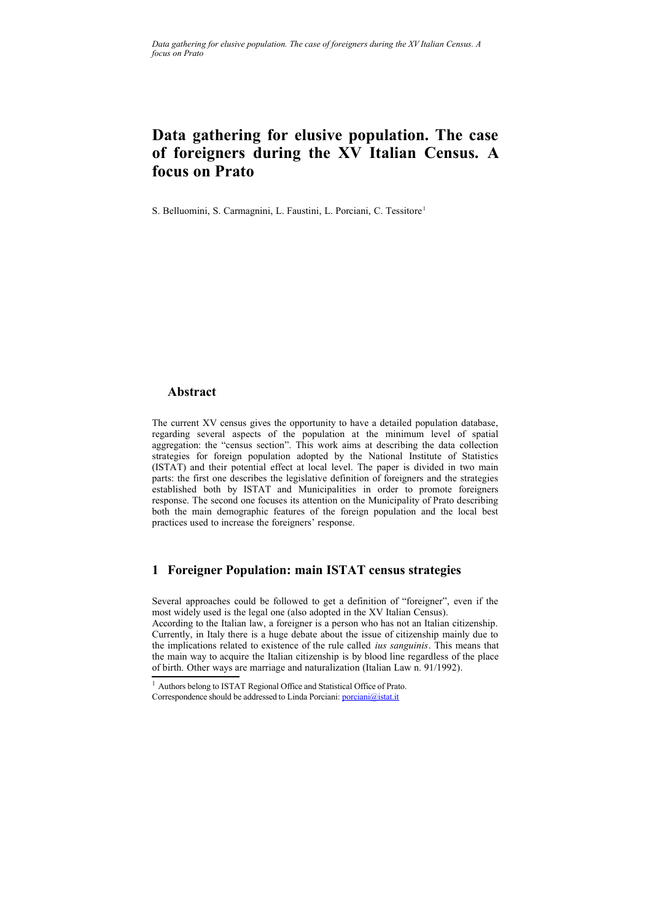# **Data gathering for elusive population. The case of foreigners during the XV Italian Census. A focus on Prato**

S. Belluomini, S. Carmagnini, L. Faustini, L. Porciani, C. Tessitore [1](#page-0-0)

# **Abstract**

The current XV census gives the opportunity to have a detailed population database, regarding several aspects of the population at the minimum level of spatial aggregation: the "census section". This work aims at describing the data collection strategies for foreign population adopted by the National Institute of Statistics (ISTAT) and their potential effect at local level. The paper is divided in two main parts: the first one describes the legislative definition of foreigners and the strategies established both by ISTAT and Municipalities in order to promote foreigners response. The second one focuses its attention on the Municipality of Prato describing both the main demographic features of the foreign population and the local best practices used to increase the foreigners' response.

# **1 Foreigner Population: main ISTAT census strategies**

Several approaches could be followed to get a definition of "foreigner", even if the most widely used is the legal one (also adopted in the XV Italian Census). According to the Italian law, a foreigner is a person who has not an Italian citizenship. Currently, in Italy there is a huge debate about the issue of citizenship mainly due to the implications related to existence of the rule called *ius sanguinis*. This means that the main way to acquire the Italian citizenship is by blood line regardless of the place of birth. Other ways are marriage and naturalization (Italian Law n. 91/1992).

<span id="page-0-0"></span><sup>&</sup>lt;sup>1</sup> Authors belong to ISTAT Regional Office and Statistical Office of Prato.

Correspondence should be addressed to Linda Porciani: [porciani@istat.it](mailto:porciani@istat.it)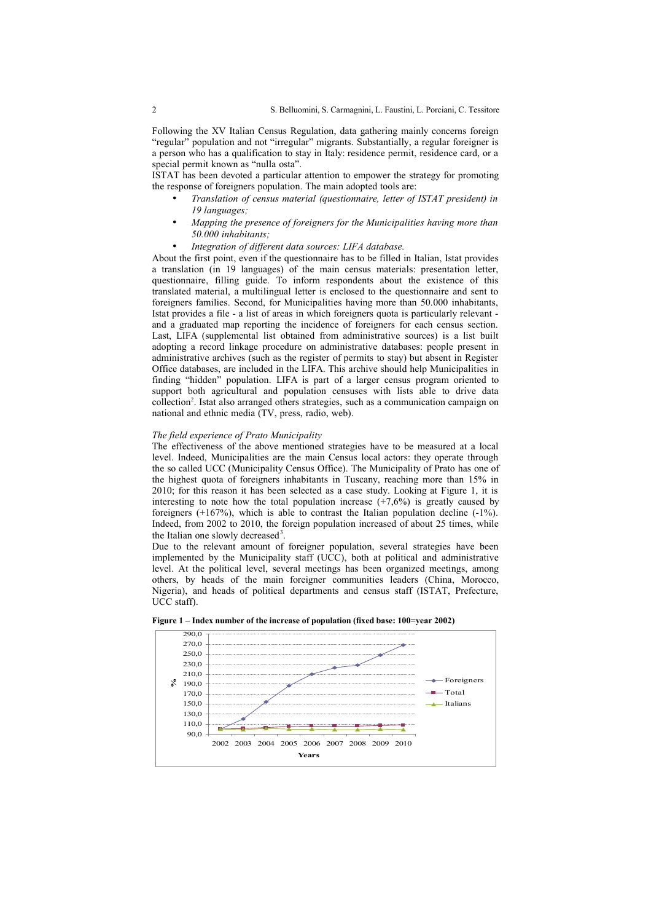Following the XV Italian Census Regulation, data gathering mainly concerns foreign "regular" population and not "irregular" migrants. Substantially, a regular foreigner is a person who has a qualification to stay in Italy: residence permit, residence card, or a special permit known as "nulla osta".

ISTAT has been devoted a particular attention to empower the strategy for promoting the response of foreigners population. The main adopted tools are:

- *Translation of census material (questionnaire, letter of ISTAT president) in 19 languages;*
- *Mapping the presence of foreigners for the Municipalities having more than 50.000 inhabitants;*
- *Integration of different data sources: LIFA database.*

About the first point, even if the questionnaire has to be filled in Italian, Istat provides a translation (in 19 languages) of the main census materials: presentation letter, questionnaire, filling guide. To inform respondents about the existence of this translated material, a multilingual letter is enclosed to the questionnaire and sent to foreigners families. Second, for Municipalities having more than 50.000 inhabitants, Istat provides a file - a list of areas in which foreigners quota is particularly relevant and a graduated map reporting the incidence of foreigners for each census section. Last, LIFA (supplemental list obtained from administrative sources) is a list built adopting a record linkage procedure on administrative databases: people present in administrative archives (such as the register of permits to stay) but absent in Register Office databases, are included in the LIFA. This archive should help Municipalities in finding "hidden" population. LIFA is part of a larger census program oriented to support both agricultural and population censuses with lists able to drive data collection<sup>[2](#page-1-0)</sup>. Istat also arranged others strategies, such as a communication campaign on national and ethnic media (TV, press, radio, web).

#### *The field experience of Prato Municipality*

The effectiveness of the above mentioned strategies have to be measured at a local level. Indeed, Municipalities are the main Census local actors: they operate through the so called UCC (Municipality Census Office). The Municipality of Prato has one of the highest quota of foreigners inhabitants in Tuscany, reaching more than 15% in 2010; for this reason it has been selected as a case study. Looking at Figure 1, it is interesting to note how the total population increase  $(+7.6%)$  is greatly caused by foreigners  $(+167%)$ , which is able to contrast the Italian population decline  $(-1%)$ . Indeed, from 2002 to 2010, the foreign population increased of about 25 times, while the Italian one slowly decreased<sup>[3](#page-1-1)</sup>.

Due to the relevant amount of foreigner population, several strategies have been implemented by the Municipality staff (UCC), both at political and administrative level. At the political level, several meetings has been organized meetings, among others, by heads of the main foreigner communities leaders (China, Morocco, Nigeria), and heads of political departments and census staff (ISTAT, Prefecture, UCC staff).



<span id="page-1-1"></span><span id="page-1-0"></span>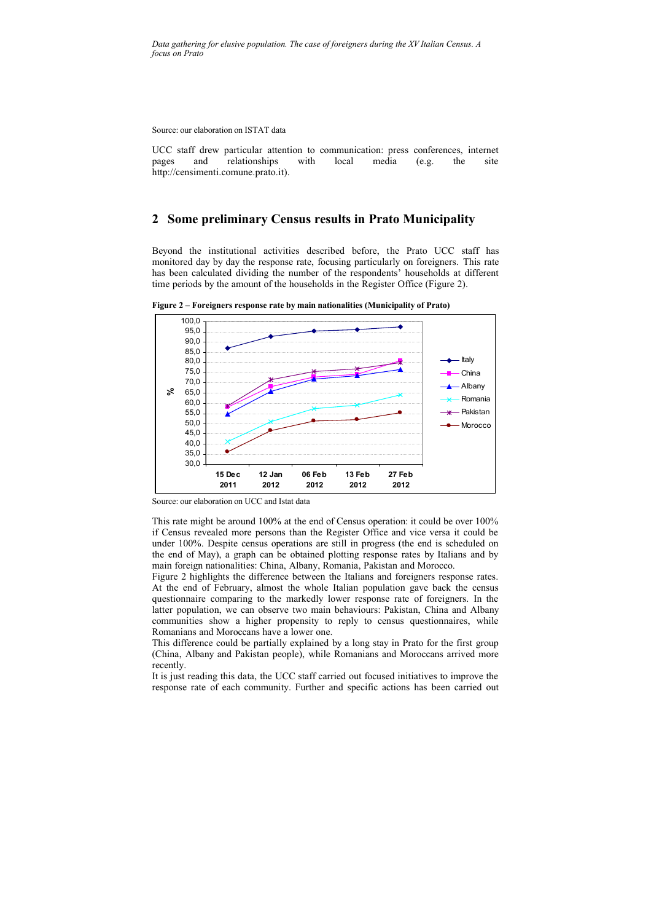Source: our elaboration on ISTAT data

UCC staff drew particular attention to communication: press conferences, internet pages and relationships with local media (e.g. the site pages and relationships with local media (e.g. the site http://censimenti.comune.prato.it).

### **2 Some preliminary Census results in Prato Municipality**

Beyond the institutional activities described before, the Prato UCC staff has monitored day by day the response rate, focusing particularly on foreigners. This rate has been calculated dividing the number of the respondents' households at different time periods by the amount of the households in the Register Office (Figure 2).



**Figure 2 – Foreigners response rate by main nationalities (Municipality of Prato)**

This rate might be around 100% at the end of Census operation: it could be over 100% if Census revealed more persons than the Register Office and vice versa it could be under 100%. Despite census operations are still in progress (the end is scheduled on the end of May), a graph can be obtained plotting response rates by Italians and by main foreign nationalities: China, Albany, Romania, Pakistan and Morocco.

Figure 2 highlights the difference between the Italians and foreigners response rates. At the end of February, almost the whole Italian population gave back the census questionnaire comparing to the markedly lower response rate of foreigners. In the latter population, we can observe two main behaviours: Pakistan, China and Albany communities show a higher propensity to reply to census questionnaires, while Romanians and Moroccans have a lower one.

This difference could be partially explained by a long stay in Prato for the first group (China, Albany and Pakistan people), while Romanians and Moroccans arrived more recently.

It is just reading this data, the UCC staff carried out focused initiatives to improve the response rate of each community. Further and specific actions has been carried out

Source: our elaboration on UCC and Istat data